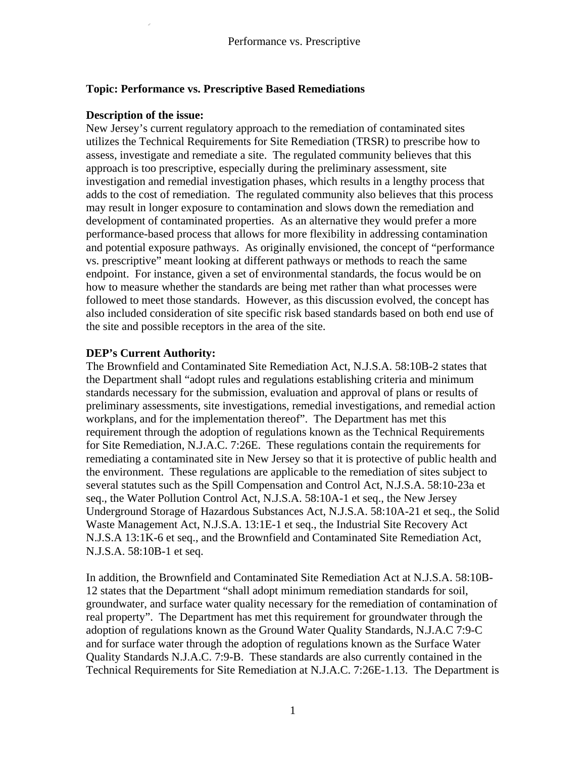### **Topic: Performance vs. Prescriptive Based Remediations**

#### **Description of the issue:**

New Jersey's current regulatory approach to the remediation of contaminated sites utilizes the Technical Requirements for Site Remediation (TRSR) to prescribe how to assess, investigate and remediate a site. The regulated community believes that this approach is too prescriptive, especially during the preliminary assessment, site investigation and remedial investigation phases, which results in a lengthy process that adds to the cost of remediation. The regulated community also believes that this process may result in longer exposure to contamination and slows down the remediation and development of contaminated properties. As an alternative they would prefer a more performance-based process that allows for more flexibility in addressing contamination and potential exposure pathways. As originally envisioned, the concept of "performance vs. prescriptive" meant looking at different pathways or methods to reach the same endpoint. For instance, given a set of environmental standards, the focus would be on how to measure whether the standards are being met rather than what processes were followed to meet those standards. However, as this discussion evolved, the concept has also included consideration of site specific risk based standards based on both end use of the site and possible receptors in the area of the site.

#### **DEP's Current Authority:**

The Brownfield and Contaminated Site Remediation Act, N.J.S.A. 58:10B-2 states that the Department shall "adopt rules and regulations establishing criteria and minimum standards necessary for the submission, evaluation and approval of plans or results of preliminary assessments, site investigations, remedial investigations, and remedial action workplans, and for the implementation thereof". The Department has met this requirement through the adoption of regulations known as the Technical Requirements for Site Remediation, N.J.A.C. 7:26E. These regulations contain the requirements for remediating a contaminated site in New Jersey so that it is protective of public health and the environment. These regulations are applicable to the remediation of sites subject to several statutes such as the Spill Compensation and Control Act, N.J.S.A. 58:10-23a et seq., the Water Pollution Control Act, N.J.S.A. 58:10A-1 et seq., the New Jersey Underground Storage of Hazardous Substances Act, N.J.S.A. 58:10A-21 et seq., the Solid Waste Management Act, N.J.S.A. 13:1E-1 et seq., the Industrial Site Recovery Act N.J.S.A 13:1K-6 et seq., and the Brownfield and Contaminated Site Remediation Act, N.J.S.A. 58:10B-1 et seq.

In addition, the Brownfield and Contaminated Site Remediation Act at N.J.S.A. 58:10B-12 states that the Department "shall adopt minimum remediation standards for soil, groundwater, and surface water quality necessary for the remediation of contamination of real property". The Department has met this requirement for groundwater through the adoption of regulations known as the Ground Water Quality Standards, N.J.A.C 7:9-C and for surface water through the adoption of regulations known as the Surface Water Quality Standards N.J.A.C. 7:9-B. These standards are also currently contained in the Technical Requirements for Site Remediation at N.J.A.C. 7:26E-1.13. The Department is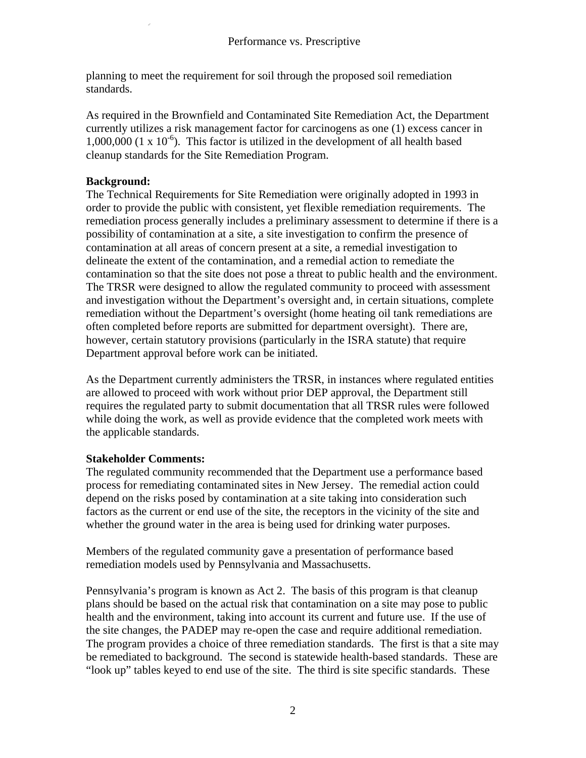planning to meet the requirement for soil through the proposed soil remediation standards.

As required in the Brownfield and Contaminated Site Remediation Act, the Department currently utilizes a risk management factor for carcinogens as one (1) excess cancer in 1,000,000 (1 x  $10^{-6}$ ). This factor is utilized in the development of all health based cleanup standards for the Site Remediation Program.

# **Background:**

The Technical Requirements for Site Remediation were originally adopted in 1993 in order to provide the public with consistent, yet flexible remediation requirements. The remediation process generally includes a preliminary assessment to determine if there is a possibility of contamination at a site, a site investigation to confirm the presence of contamination at all areas of concern present at a site, a remedial investigation to delineate the extent of the contamination, and a remedial action to remediate the contamination so that the site does not pose a threat to public health and the environment. The TRSR were designed to allow the regulated community to proceed with assessment and investigation without the Department's oversight and, in certain situations, complete remediation without the Department's oversight (home heating oil tank remediations are often completed before reports are submitted for department oversight). There are, however, certain statutory provisions (particularly in the ISRA statute) that require Department approval before work can be initiated.

As the Department currently administers the TRSR, in instances where regulated entities are allowed to proceed with work without prior DEP approval, the Department still requires the regulated party to submit documentation that all TRSR rules were followed while doing the work, as well as provide evidence that the completed work meets with the applicable standards.

# **Stakeholder Comments:**

The regulated community recommended that the Department use a performance based process for remediating contaminated sites in New Jersey. The remedial action could depend on the risks posed by contamination at a site taking into consideration such factors as the current or end use of the site, the receptors in the vicinity of the site and whether the ground water in the area is being used for drinking water purposes.

Members of the regulated community gave a presentation of performance based remediation models used by Pennsylvania and Massachusetts.

Pennsylvania's program is known as Act 2. The basis of this program is that cleanup plans should be based on the actual risk that contamination on a site may pose to public health and the environment, taking into account its current and future use. If the use of the site changes, the PADEP may re-open the case and require additional remediation. The program provides a choice of three remediation standards. The first is that a site may be remediated to background. The second is statewide health-based standards. These are "look up" tables keyed to end use of the site. The third is site specific standards. These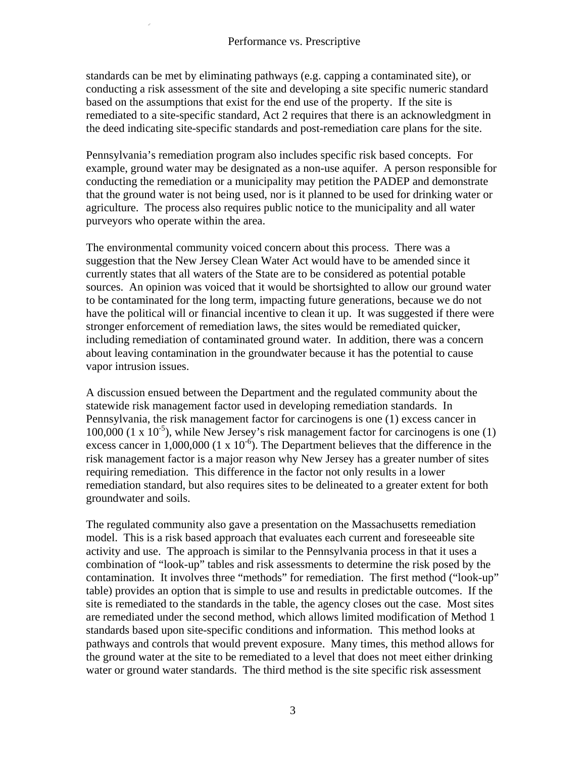standards can be met by eliminating pathways (e.g. capping a contaminated site), or conducting a risk assessment of the site and developing a site specific numeric standard based on the assumptions that exist for the end use of the property. If the site is remediated to a site-specific standard, Act 2 requires that there is an acknowledgment in the deed indicating site-specific standards and post-remediation care plans for the site.

Pennsylvania's remediation program also includes specific risk based concepts. For example, ground water may be designated as a non-use aquifer. A person responsible for conducting the remediation or a municipality may petition the PADEP and demonstrate that the ground water is not being used, nor is it planned to be used for drinking water or agriculture. The process also requires public notice to the municipality and all water purveyors who operate within the area.

The environmental community voiced concern about this process. There was a suggestion that the New Jersey Clean Water Act would have to be amended since it currently states that all waters of the State are to be considered as potential potable sources. An opinion was voiced that it would be shortsighted to allow our ground water to be contaminated for the long term, impacting future generations, because we do not have the political will or financial incentive to clean it up. It was suggested if there were stronger enforcement of remediation laws, the sites would be remediated quicker, including remediation of contaminated ground water. In addition, there was a concern about leaving contamination in the groundwater because it has the potential to cause vapor intrusion issues.

A discussion ensued between the Department and the regulated community about the statewide risk management factor used in developing remediation standards. In Pennsylvania, the risk management factor for carcinogens is one (1) excess cancer in 100,000 (1 x  $10^{-5}$ ), while New Jersey's risk management factor for carcinogens is one (1) excess cancer in 1,000,000 (1 x  $10^{-6}$ ). The Department believes that the difference in the risk management factor is a major reason why New Jersey has a greater number of sites requiring remediation. This difference in the factor not only results in a lower remediation standard, but also requires sites to be delineated to a greater extent for both groundwater and soils.

The regulated community also gave a presentation on the Massachusetts remediation model. This is a risk based approach that evaluates each current and foreseeable site activity and use. The approach is similar to the Pennsylvania process in that it uses a combination of "look-up" tables and risk assessments to determine the risk posed by the contamination. It involves three "methods" for remediation. The first method ("look-up" table) provides an option that is simple to use and results in predictable outcomes. If the site is remediated to the standards in the table, the agency closes out the case. Most sites are remediated under the second method, which allows limited modification of Method 1 standards based upon site-specific conditions and information. This method looks at pathways and controls that would prevent exposure. Many times, this method allows for the ground water at the site to be remediated to a level that does not meet either drinking water or ground water standards. The third method is the site specific risk assessment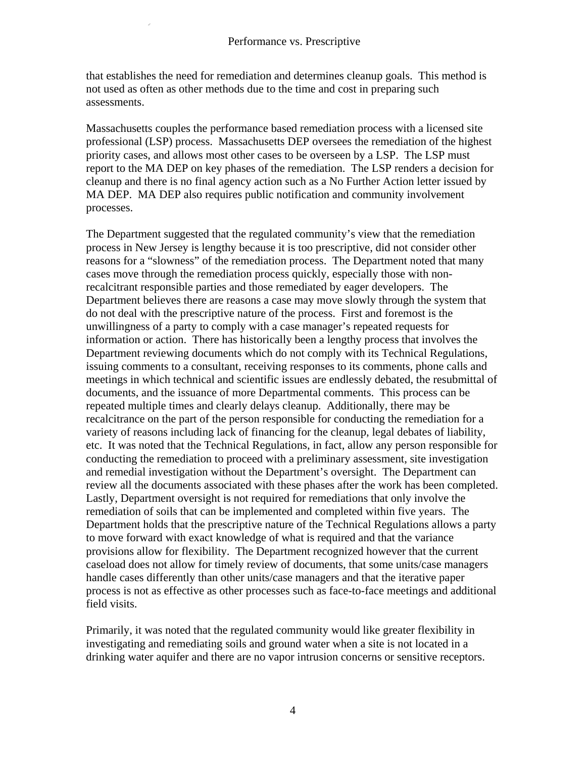that establishes the need for remediation and determines cleanup goals. This method is not used as often as other methods due to the time and cost in preparing such assessments.

Massachusetts couples the performance based remediation process with a licensed site professional (LSP) process. Massachusetts DEP oversees the remediation of the highest priority cases, and allows most other cases to be overseen by a LSP. The LSP must report to the MA DEP on key phases of the remediation. The LSP renders a decision for cleanup and there is no final agency action such as a No Further Action letter issued by MA DEP. MA DEP also requires public notification and community involvement processes.

The Department suggested that the regulated community's view that the remediation process in New Jersey is lengthy because it is too prescriptive, did not consider other reasons for a "slowness" of the remediation process. The Department noted that many cases move through the remediation process quickly, especially those with nonrecalcitrant responsible parties and those remediated by eager developers. The Department believes there are reasons a case may move slowly through the system that do not deal with the prescriptive nature of the process. First and foremost is the unwillingness of a party to comply with a case manager's repeated requests for information or action. There has historically been a lengthy process that involves the Department reviewing documents which do not comply with its Technical Regulations, issuing comments to a consultant, receiving responses to its comments, phone calls and meetings in which technical and scientific issues are endlessly debated, the resubmittal of documents, and the issuance of more Departmental comments. This process can be repeated multiple times and clearly delays cleanup. Additionally, there may be recalcitrance on the part of the person responsible for conducting the remediation for a variety of reasons including lack of financing for the cleanup, legal debates of liability, etc. It was noted that the Technical Regulations, in fact, allow any person responsible for conducting the remediation to proceed with a preliminary assessment, site investigation and remedial investigation without the Department's oversight. The Department can review all the documents associated with these phases after the work has been completed. Lastly, Department oversight is not required for remediations that only involve the remediation of soils that can be implemented and completed within five years. The Department holds that the prescriptive nature of the Technical Regulations allows a party to move forward with exact knowledge of what is required and that the variance provisions allow for flexibility. The Department recognized however that the current caseload does not allow for timely review of documents, that some units/case managers handle cases differently than other units/case managers and that the iterative paper process is not as effective as other processes such as face-to-face meetings and additional field visits.

Primarily, it was noted that the regulated community would like greater flexibility in investigating and remediating soils and ground water when a site is not located in a drinking water aquifer and there are no vapor intrusion concerns or sensitive receptors.